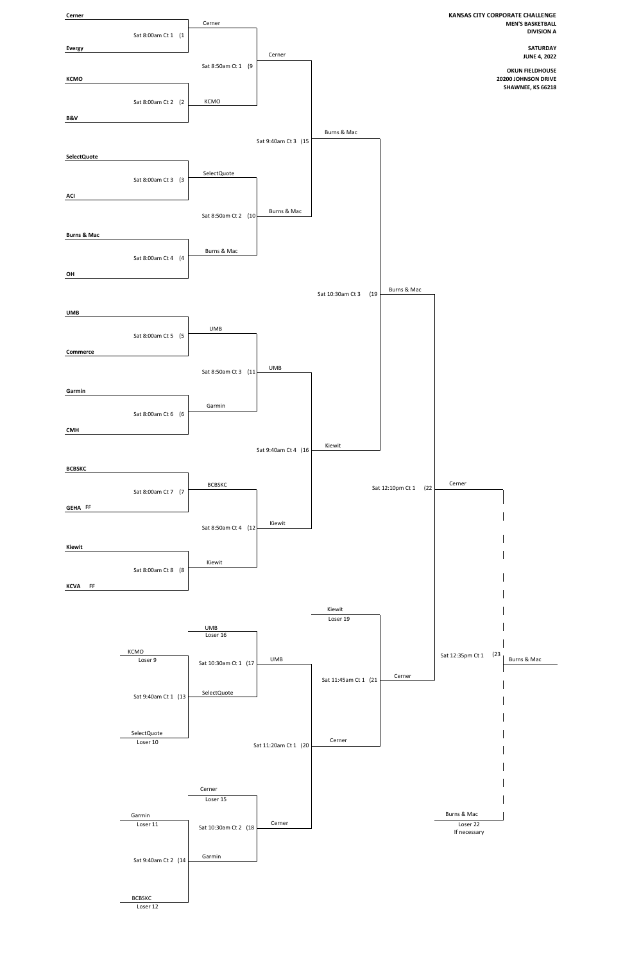

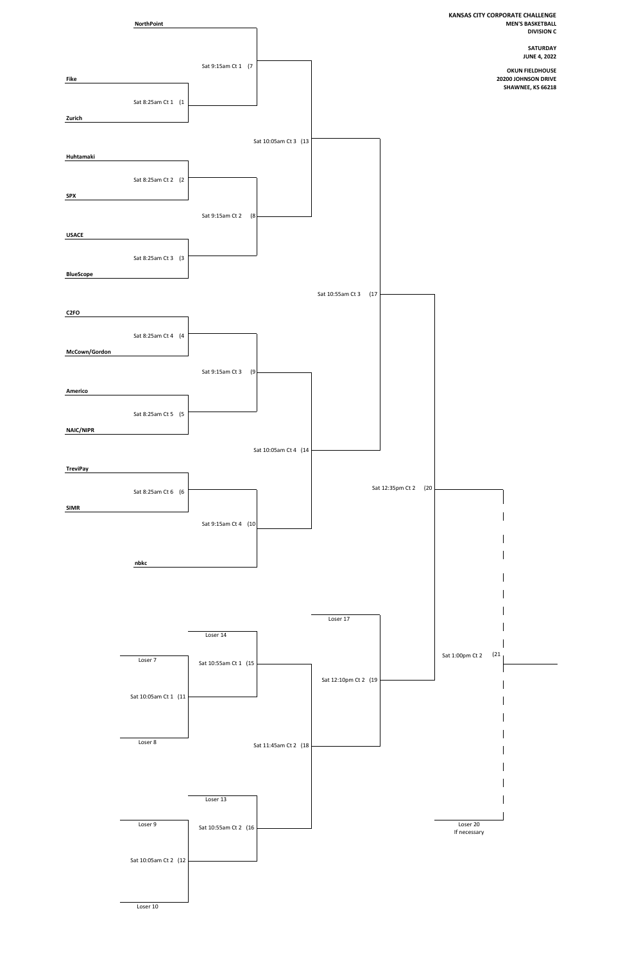

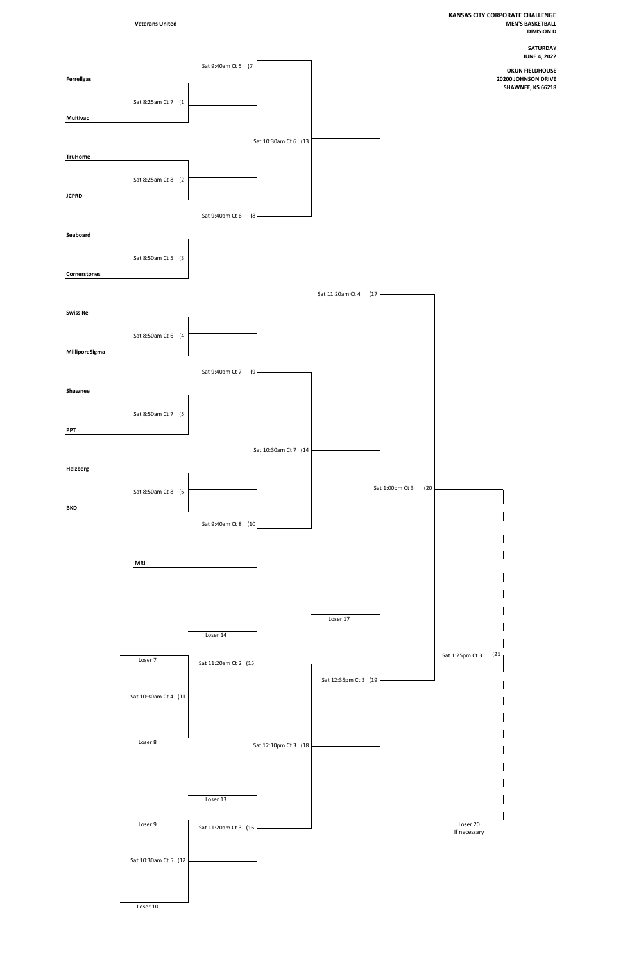

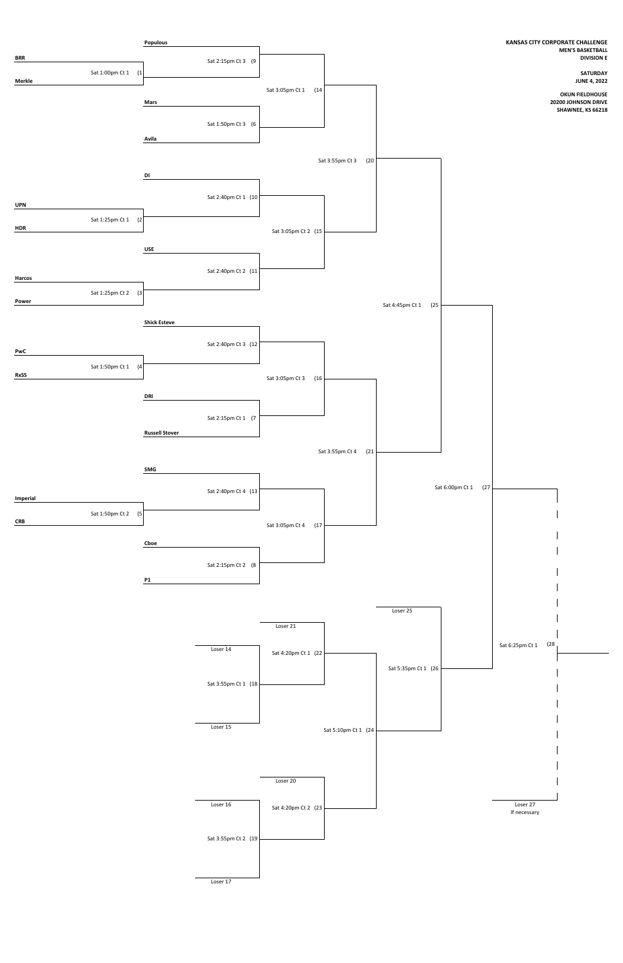

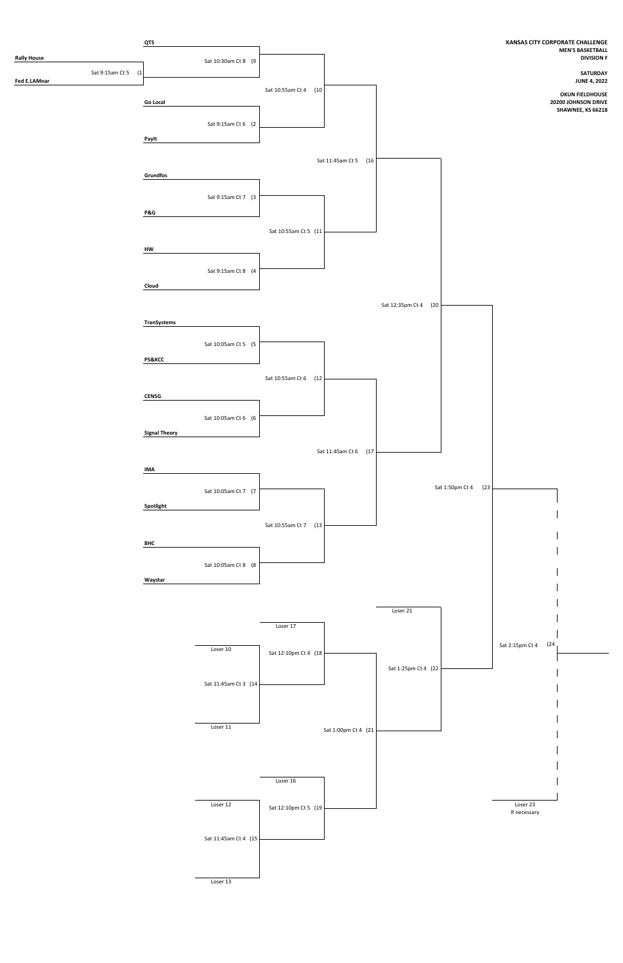